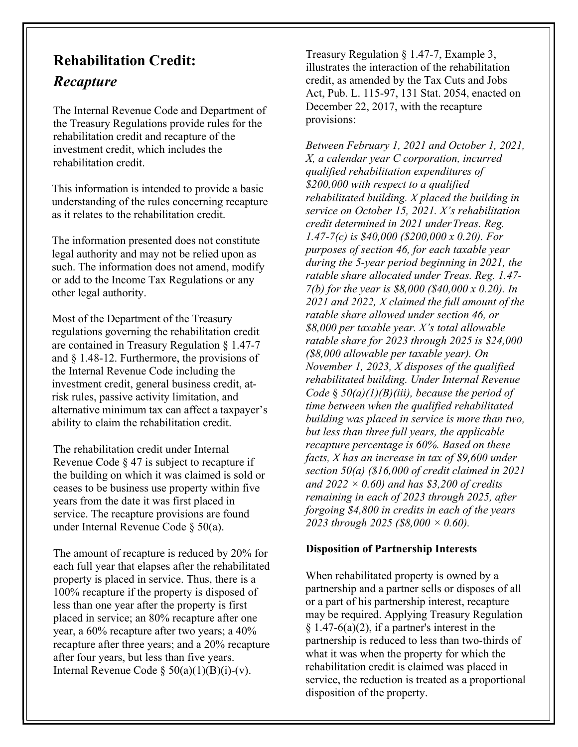# **Rehabilitation Credit:** *Recapture*

The Internal Revenue Code and Department of the Treasury Regulations provide rules for the rehabilitation credit and recapture of the investment credit, which includes the rehabilitation credit.

This information is intended to provide a basic understanding of the rules concerning recapture as it relates to the rehabilitation credit.

The information presented does not constitute legal authority and may not be relied upon as such. The information does not amend, modify or add to the Income Tax Regulations or any other legal authority.

Most of the Department of the Treasury regulations governing the rehabilitation credit are contained in Treasury Regulation § 1.47-7 and § 1.48-12. Furthermore, the provisions of the Internal Revenue Code including the investment credit, general business credit, atrisk rules, passive activity limitation, and alternative minimum tax can affect a taxpayer's ability to claim the rehabilitation credit.

The rehabilitation credit under Internal Revenue Code § 47 is subject to recapture if the building on which it was claimed is sold or ceases to be business use property within five years from the date it was first placed in service. The recapture provisions are found under Internal Revenue Code § 50(a).

The amount of recapture is reduced by 20% for each full year that elapses after the rehabilitated property is placed in service. Thus, there is a 100% recapture if the property is disposed of less than one year after the property is first placed in service; an 80% recapture after one year, a 60% recapture after two years; a 40% recapture after three years; and a 20% recapture after four years, but less than five years. Internal Revenue Code  $\S 50(a)(1)(B)(i)-(v)$ .

Treasury Regulation § 1.47-7, Example 3, illustrates the interaction of the rehabilitation credit, as amended by the Tax Cuts and Jobs Act, Pub. L. 115-97, 131 Stat. 2054, enacted on December 22, 2017, with the recapture provisions:

*Between February 1, 2021 and October 1, 2021, X, a calendar year C corporation, incurred qualified rehabilitation expenditures of \$200,000 with respect to a qualified rehabilitated building. X placed the building in service on October 15, 2021. X's rehabilitation credit determined in 2021 underTreas. Reg. 1.47-7(c) is \$40,000 (\$200,000 x 0.20). For purposes of section 46, for each taxable year during the 5-year period beginning in 2021, the ratable share allocated under Treas. Reg. 1.47- 7(b) for the year is \$8,000 (\$40,000 x 0.20). In 2021 and 2022, X claimed the full amount of the ratable share allowed under section 46, or \$8,000 per taxable year. X's total allowable ratable share for 2023 through 2025 is \$24,000 (\$8,000 allowable per taxable year). On November 1, 2023, X disposes of the qualified rehabilitated building. Under Internal Revenue Code* § *50(a)(1)(B)(iii), because the period of time between when the qualified rehabilitated building was placed in service is more than two, but less than three full years, the applicable recapture percentage is 60%. Based on these facts, X has an increase in tax of \$9,600 under section 50(a) (\$16,000 of credit claimed in 2021 and 2022 × 0.60) and has \$3,200 of credits remaining in each of 2023 through 2025, after forgoing \$4,800 in credits in each of the years 2023 through 2025 (\$8,000 × 0.60).*

#### **Disposition of Partnership Interests**

When rehabilitated property is owned by a partnership and a partner sells or disposes of all or a part of his partnership interest, recapture may be required. Applying Treasury Regulation  $§ 1.47-6(a)(2)$ , if a partner's interest in the partnership is reduced to less than two-thirds of what it was when the property for which the rehabilitation credit is claimed was placed in service, the reduction is treated as a proportional disposition of the property.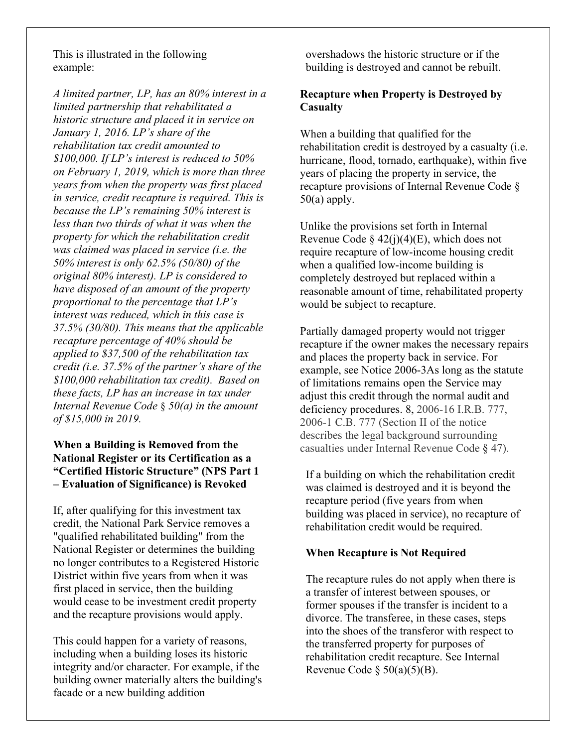This is illustrated in the following example:

*A limited partner, LP, has an 80% interest in a limited partnership that rehabilitated a historic structure and placed it in service on January 1, 2016. LP's share of the rehabilitation tax credit amounted to \$100,000. If LP's interest is reduced to 50% on February 1, 2019, which is more than three years from when the property was first placed in service, credit recapture is required. This is because the LP's remaining 50% interest is less than two thirds of what it was when the property for which the rehabilitation credit was claimed was placed in service (i.e. the 50% interest is only 62.5% (50/80) of the original 80% interest). LP is considered to have disposed of an amount of the property proportional to the percentage that LP's interest was reduced, which in this case is 37.5% (30/80). This means that the applicable recapture percentage of 40% should be applied to \$37,500 of the rehabilitation tax credit (i.e. 37.5% of the partner's share of the \$100,000 rehabilitation tax credit). Based on these facts, LP has an increase in tax under Internal Revenue Code* § *50(a) in the amount of \$15,000 in 2019.*

## **When a Building is Removed from the National Register or its Certification as a "Certified Historic Structure" (NPS Part 1 – Evaluation of Significance) is Revoked**

If, after qualifying for this investment tax credit, the National Park Service removes a "qualified rehabilitated building" from the National Register or determines the building no longer contributes to a Registered Historic District within five years from when it was first placed in service, then the building would cease to be investment credit property and the recapture provisions would apply.

This could happen for a variety of reasons, including when a building loses its historic integrity and/or character. For example, if the building owner materially alters the building's facade or a new building addition

overshadows the historic structure or if the building is destroyed and cannot be rebuilt.

## **Recapture when Property is Destroyed by Casualty**

When a building that qualified for the rehabilitation credit is destroyed by a casualty (i.e. hurricane, flood, tornado, earthquake), within five years of placing the property in service, the recapture provisions of Internal Revenue Code §  $50(a)$  apply.

Unlike the provisions set forth in Internal Revenue Code §  $42(j)(4)(E)$ , which does not require recapture of low-income housing credit when a qualified low-income building is completely destroyed but replaced within a reasonable amount of time, rehabilitated property would be subject to recapture.

Partially damaged property would not trigger recapture if the owner makes the necessary repairs and places the property back in service. For example, see Notice 2006-3As long as the statute of limitations remains open the Service may adjust this credit through the normal audit and deficiency procedures. 8, 2006-16 I.R.B. 777, 2006-1 C.B. 777 (Section II of the notice describes the legal background surrounding casualties under Internal Revenue Code § 47).

If a building on which the rehabilitation credit was claimed is destroyed and it is beyond the recapture period (five years from when building was placed in service), no recapture of rehabilitation credit would be required.

#### **When Recapture is Not Required**

The recapture rules do not apply when there is a transfer of interest between spouses, or former spouses if the transfer is incident to a divorce. The transferee, in these cases, steps into the shoes of the transferor with respect to the transferred property for purposes of rehabilitation credit recapture. See Internal Revenue Code  $\S$  50(a)(5)(B).